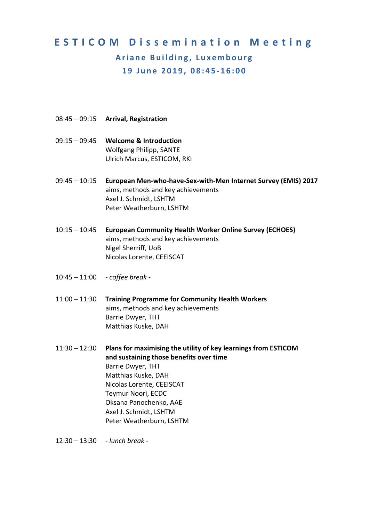## **ESTICOM Dissemination Meeting Ariane Building, Luxembourg 19 June 2019, 08:45‐16:00**

- 08:45 09:15 **Arrival, Registration**
- 09:15 09:45 **Welcome & Introduction** Wolfgang Philipp, SANTE Ulrich Marcus, ESTICOM, RKI
- 09:45 10:15 **European Men‐who‐have‐Sex‐with‐Men Internet Survey (EMIS) 2017** aims, methods and key achievements Axel J. Schmidt, LSHTM Peter Weatherburn, LSHTM
- 10:15 10:45 **European Community Health Worker Online Survey (ECHOES)**  aims, methods and key achievements Nigel Sherriff, UoB Nicolas Lorente, CEEISCAT
- 10:45 11:00 *‐ coffee break ‐*
- 11:00 11:30 **Training Programme for Community Health Workers** aims, methods and key achievements Barrie Dwyer, THT Matthias Kuske, DAH
- 11:30 12:30 **Plans for maximising the utility of key learnings from ESTICOM and sustaining those benefits over time**  Barrie Dwyer, THT Matthias Kuske, DAH Nicolas Lorente, CEEISCAT Teymur Noori, ECDC Oksana Panochenko, AAE Axel J. Schmidt, LSHTM Peter Weatherburn, LSHTM

12:30 – 13:30 *‐ lunch break ‐*